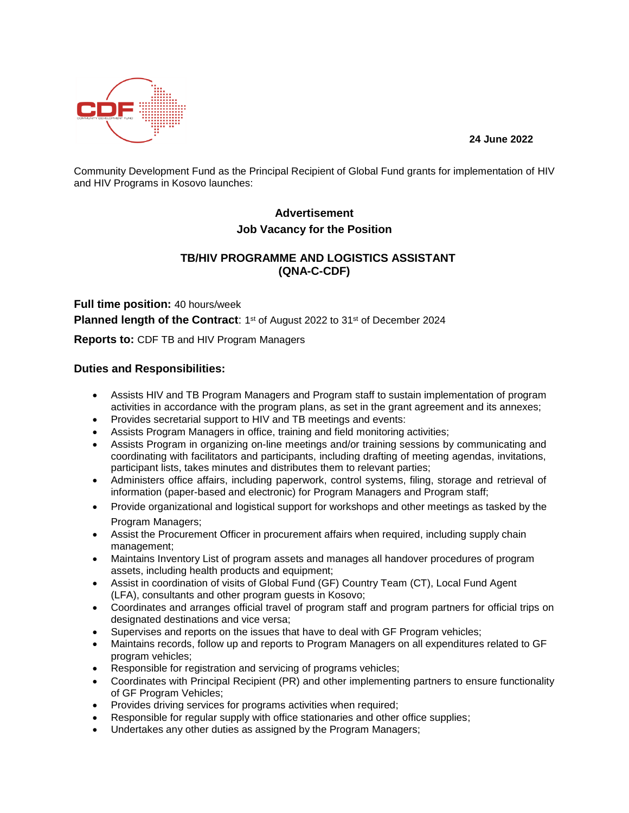**24 June 2022**



Community Development Fund as the Principal Recipient of Global Fund grants for implementation of HIV and HIV Programs in Kosovo launches:

# **Advertisement Job Vacancy for the Position**

## **TB/HIV PROGRAMME AND LOGISTICS ASSISTANT (QNA-C-CDF)**

**Full time position:** 40 hours/week

Planned length of the Contract: 1<sup>st</sup> of August 2022 to 31<sup>st</sup> of December 2024

**Reports to:** CDF TB and HIV Program Managers

## **Duties and Responsibilities:**

- Assists HIV and TB Program Managers and Program staff to sustain implementation of program activities in accordance with the program plans, as set in the grant agreement and its annexes;
- Provides secretarial support to HIV and TB meetings and events:
- Assists Program Managers in office, training and field monitoring activities;
- Assists Program in organizing on-line meetings and/or training sessions by communicating and coordinating with facilitators and participants, including drafting of meeting agendas, invitations, participant lists, takes minutes and distributes them to relevant parties;
- Administers office affairs, including paperwork, control systems, filing, storage and retrieval of information (paper-based and electronic) for Program Managers and Program staff;
- Provide organizational and logistical support for workshops and other meetings as tasked by the Program Managers;
- Assist the Procurement Officer in procurement affairs when required, including supply chain management;
- Maintains Inventory List of program assets and manages all handover procedures of program assets, including health products and equipment;
- Assist in coordination of visits of Global Fund (GF) Country Team (CT), Local Fund Agent (LFA), consultants and other program guests in Kosovo;
- Coordinates and arranges official travel of program staff and program partners for official trips on designated destinations and vice versa;
- Supervises and reports on the issues that have to deal with GF Program vehicles;
- Maintains records, follow up and reports to Program Managers on all expenditures related to GF program vehicles;
- Responsible for registration and servicing of programs vehicles;
- Coordinates with Principal Recipient (PR) and other implementing partners to ensure functionality of GF Program Vehicles;
- Provides driving services for programs activities when required;
- Responsible for regular supply with office stationaries and other office supplies;
- Undertakes any other duties as assigned by the Program Managers;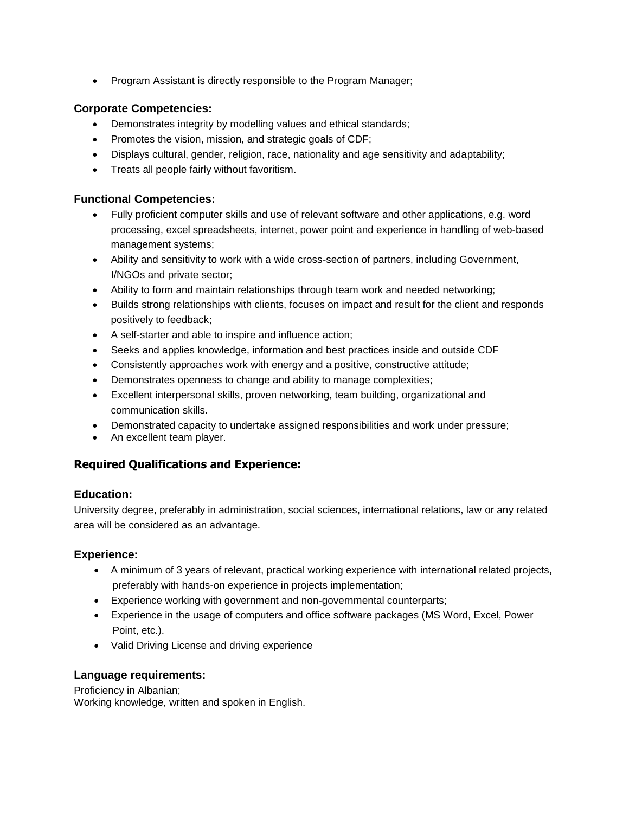• Program Assistant is directly responsible to the Program Manager;

## **Corporate Competencies:**

- Demonstrates integrity by modelling values and ethical standards;
- Promotes the vision, mission, and strategic goals of CDF;
- Displays cultural, gender, religion, race, nationality and age sensitivity and adaptability;
- Treats all people fairly without favoritism.

## **Functional Competencies:**

- Fully proficient computer skills and use of relevant software and other applications, e.g. word processing, excel spreadsheets, internet, power point and experience in handling of web-based management systems;
- Ability and sensitivity to work with a wide cross-section of partners, including Government, I/NGOs and private sector;
- Ability to form and maintain relationships through team work and needed networking;
- Builds strong relationships with clients, focuses on impact and result for the client and responds positively to feedback;
- A self-starter and able to inspire and influence action;
- Seeks and applies knowledge, information and best practices inside and outside CDF
- Consistently approaches work with energy and a positive, constructive attitude;
- Demonstrates openness to change and ability to manage complexities;
- Excellent interpersonal skills, proven networking, team building, organizational and communication skills.
- Demonstrated capacity to undertake assigned responsibilities and work under pressure;
- An excellent team player.

# **Required Qualifications and Experience:**

#### **Education:**

University degree, preferably in administration, social sciences, international relations, law or any related area will be considered as an advantage.

#### **Experience:**

- A minimum of 3 years of relevant, practical working experience with international related projects, preferably with hands-on experience in projects implementation;
- Experience working with government and non-governmental counterparts;
- Experience in the usage of computers and office software packages (MS Word, Excel, Power Point, etc.).
- Valid Driving License and driving experience

#### **Language requirements:**

Proficiency in Albanian; Working knowledge, written and spoken in English.